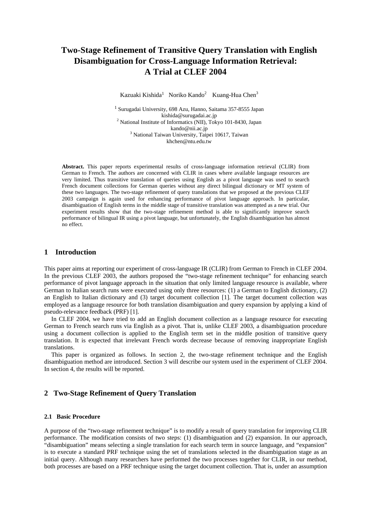# **Two-Stage Refinement of Transitive Query Translation with English Disambiguation for Cross-Language Information Retrieval: A Trial at CLEF 2004**

Kazuaki Kishida<sup>1</sup> Noriko Kando<sup>2</sup> Kuang-Hua Chen<sup>3</sup>

1 Surugadai University, 698 Azu, Hanno, Saitama 357-8555 Japan kishida@surugadai.ac.jp 2 National Institute of Informatics (NII), Tokyo 101-8430, Japan kando@nii.ac.jp<br><sup>3</sup> National Taiwan University, Taipei 10617, Taiwan khchen@ntu.edu.tw

**Abstract.** This paper reports experimental results of cross-language information retrieval (CLIR) from German to French. The authors are concerned with CLIR in cases where available language resources are very limited. Thus transitive translation of queries using English as a pivot language was used to search French document collections for German queries without any direct bilingual dictionary or MT system of these two languages. The two-stage refinement of query translations that we proposed at the previous CLEF 2003 campaign is again used for enhancing performance of pivot language approach. In particular, disambiguation of English terms in the middle stage of transitive translation was attempted as a new trial. Our experiment results show that the two-stage refinement method is able to significantly improve search performance of bilingual IR using a pivot language, but unfortunately, the English disambiguation has almost no effect.

# **1 Introduction**

This paper aims at reporting our experiment of cross-language IR (CLIR) from German to French in CLEF 2004. In the previous CLEF 2003, the authors proposed the "two-stage refinement technique" for enhancing search performance of pivot language approach in the situation that only limited language resource is available, where German to Italian search runs were executed using only three resources: (1) a German to English dictionary, (2) an English to Italian dictionary and (3) target document collection [1]. The target document collection was employed as a language resource for both translation disambiguation and query expansion by applying a kind of pseudo-relevance feedback (PRF) [1].

In CLEF 2004, we have tried to add an English document collection as a language resource for executing German to French search runs via English as a pivot. That is, unlike CLEF 2003, a disambiguation procedure using a document collection is applied to the English term set in the middle position of transitive query translation. It is expected that irrelevant French words decrease because of removing inappropriate English translations.

This paper is organized as follows. In section 2, the two-stage refinement technique and the English disambiguation method are introduced. Section 3 will describe our system used in the experiment of CLEF 2004. In section 4, the results will be reported.

# **2 Two-Stage Refinement of Query Translation**

#### **2.1 Basic Procedure**

A purpose of the "two-stage refinement technique" is to modify a result of query translation for improving CLIR performance. The modification consists of two steps: (1) disambiguation and (2) expansion. In our approach, "disambiguation" means selecting a single translation for each search term in source language, and "expansion" is to execute a standard PRF technique using the set of translations selected in the disambiguation stage as an initial query. Although many researchers have performed the two processes together for CLIR, in our method, both processes are based on a PRF technique using the target document collection. That is, under an assumption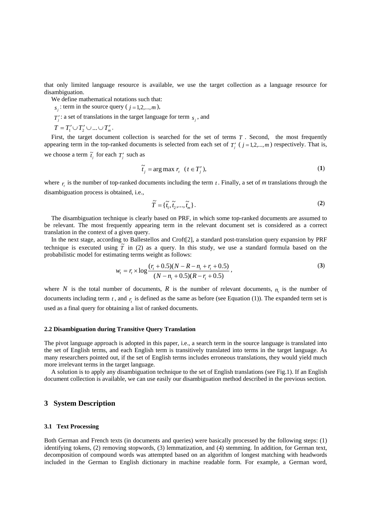that only limited language resource is available, we use the target collection as a language resource for disambiguation.

We define mathematical notations such that:

 $f_{s_i}$ : term in the source query ( $j = 1, 2, \ldots, m$ ),

 $T_j'$ : a set of translations in the target language for term  $s_j$ , and

 $T = T_1' \cup T_2' \cup ... \cup T_m'$ .

First, the target document collection is searched for the set of terms *T* . Second, the most frequently appearing term in the top-ranked documents is selected from each set of  $T'_{j}$  ( $j = 1, 2, ..., m$ ) respectively. That is,

we choose a term  $\tilde{t}_j$  for each  $T'_j$  such as

$$
\widetilde{t}_j = \arg \max r_i \quad (t \in T'_j),\tag{1}
$$

where  $r<sub>i</sub>$  is the number of top-ranked documents including the term  $t<sub>i</sub>$ . Finally, a set of  $m$  translations through the disambiguation process is obtained, i.e.,

$$
\widetilde{T} = {\widetilde{t_1}, \widetilde{t_2}, ..., \widetilde{t_m}}.
$$
\n(2)

The disambiguation technique is clearly based on PRF, in which some top-ranked documents are assumed to be relevant. The most frequently appearing term in the relevant document set is considered as a correct translation in the context of a given query.

In the next stage, according to Ballestellos and Croft[2], a standard post-translation query expansion by PRF technique is executed using  $\tilde{T}$  in (2) as a query. In this study, we use a standard formula based on the probabilistic model for estimating terms weight as follows:

$$
w_{t} = r_{t} \times \log \frac{(r_{t} + 0.5)(N - R - n_{t} + r_{t} + 0.5)}{(N - n_{t} + 0.5)(R - r_{t} + 0.5)},
$$
\n(3)

where *N* is the total number of documents, *R* is the number of relevant documents,  $n<sub>i</sub>$  is the number of documents including term  $t$ , and  $r<sub>i</sub>$  is defined as the same as before (see Equation (1)). The expanded term set is used as a final query for obtaining a list of ranked documents.

#### **2.2 Disambiguation during Transitive Query Translation**

The pivot language approach is adopted in this paper, i.e., a search term in the source language is translated into the set of English terms, and each English term is transitively translated into terms in the target language. As many researchers pointed out, if the set of English terms includes erroneous translations, they would yield much more irrelevant terms in the target language.

A solution is to apply any disambiguation technique to the set of English translations (see Fig.1). If an English document collection is available, we can use easily our disambiguation method described in the previous section.

## **3 System Description**

#### **3.1 Text Processing**

Both German and French texts (in documents and queries) were basically processed by the following steps: (1) identifying tokens, (2) removing stopwords, (3) lemmatization, and (4) stemming. In addition, for German text, decomposition of compound words was attempted based on an algorithm of longest matching with headwords included in the German to English dictionary in machine readable form. For example, a German word,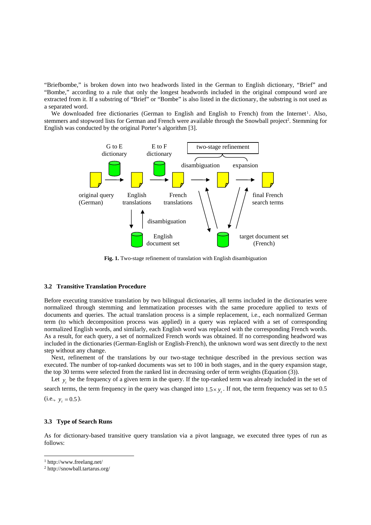"Briefbombe," is broken down into two headwords listed in the German to English dictionary, "Brief" and "Bombe," according to a rule that only the longest headwords included in the original compound word are extracted from it. If a substring of "Brief" or "Bombe" is also listed in the dictionary, the substring is not used as a separated word.

We downloaded free dictionaries (German to English and English to French) from the Internet<sup>1</sup>. Also, stemmers and stopword lists for German and French were available through the Snowball project<sup>2</sup>. Stemming for English was conducted by the original Porter's algorithm [3].



**Fig. 1.** Two-stage refinement of translation with English disambiguation

#### **3.2 Transitive Translation Procedure**

Before executing transitive translation by two bilingual dictionaries, all terms included in the dictionaries were normalized through stemming and lemmatization processes with the same procedure applied to texts of documents and queries. The actual translation process is a simple replacement, i.e., each normalized German term (to which decomposition process was applied) in a query was replaced with a set of corresponding normalized English words, and similarly, each English word was replaced with the corresponding French words. As a result, for each query, a set of normalized French words was obtained. If no corresponding headword was included in the dictionaries (German-English or English-French), the unknown word was sent directly to the next step without any change.

Next, refinement of the translations by our two-stage technique described in the previous section was executed. The number of top-ranked documents was set to 100 in both stages, and in the query expansion stage, the top 30 terms were selected from the ranked list in decreasing order of term weights (Equation (3)).

Let  $y_t$  be the frequency of a given term in the query. If the top-ranked term was already included in the set of search terms, the term frequency in the query was changed into  $1.5 \times y$ . If not, the term frequency was set to 0.5  $(i.e., y<sub>r</sub> = 0.5).$ 

#### **3.3 Type of Search Runs**

As for dictionary-based transitive query translation via a pivot language, we executed three types of run as follows:

 $\overline{a}$ 

<sup>1</sup> http://www.freelang.net/

<sup>2</sup> http://snowball.tartarus.org/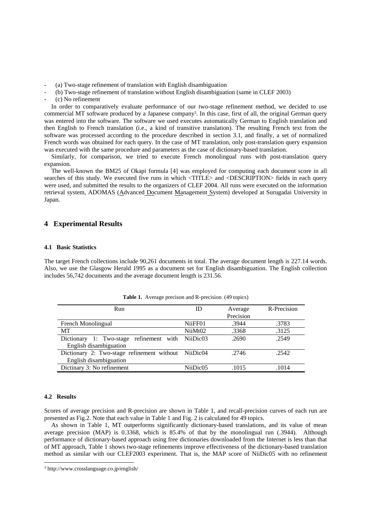- (a) Two-stage refinement of translation with English disambiguation
- (b) Two-stage refinement of translation without English disambiguation (same in CLEF 2003)
- (c) No refinement

In order to comparatively evaluate performance of our two-stage refinement method, we decided to use commercial MT software produced by a Japanese company3. In this case, first of all, the original German query was entered into the software. The software we used executes automatically German to English translation and then English to French translation (i.e., a kind of transitive translation). The resulting French text from the software was processed according to the procedure described in section 3.1, and finally, a set of normalized French words was obtained for each query. In the case of MT translation, only post-translation query expansion was executed with the same procedure and parameters as the case of dictionary-based translation.

Similarly, for comparison, we tried to execute French monolingual runs with post-translation query expansion.

The well-known the BM25 of Okapi formula [4] was employed for computing each document score in all searches of this study. We executed five runs in which <TITLE> and <DESCRIPTION> fields in each query were used, and submitted the results to the organizers of CLEF 2004. All runs were executed on the information retrieval system, ADOMAS (Advanced Document Management System) developed at Surugadai University in Japan.

## **4 Experimental Results**

#### **4.1 Basic Statistics**

The target French collections include 90,261 documents in total. The average document length is 227.14 words. Also, we use the Glasgow Herald 1995 as a document set for English disambiguation. The English collection includes 56,742 documents and the average document length is 231.56.

| Run                                                 | ID       | Average   | R-Precision |
|-----------------------------------------------------|----------|-----------|-------------|
|                                                     |          | Precision |             |
| French Monolingual                                  | NiiFF01  | .3944     | .3783       |
| MT                                                  | NiiMt02  | .3368     | .3125       |
| Dictionary 1: Two-stage refinement with             | NiiDic03 | .2690     | .2549       |
| English disambiguation                              |          |           |             |
| Dictionary 2: Two-stage refinement without NiiDic04 |          | .2746     | .2542       |
| English disambiguation                              |          |           |             |
| Dictinary 3: No refinement                          | NiiDic05 | .1015     | .1014       |

**Table 1.** Average precison and R-precision (49 topics)

# **4.2 Results**

 $\overline{a}$ 

Scores of average precision and R-precision are shown in Table 1, and recall-precision curves of each run are presented as Fig.2. Note that each value in Table 1 and Fig. 2 is calculated for 49 topics.

As shown in Table 1, MT outperforms significantly dictionary-based translations, and its value of mean average precision (MAP) is 0.3368, which is 85.4% of that by the monolingual run (.3944). Although performance of dictionary-based approach using free dictionaries downloaded from the Internet is less than that of MT approach, Table 1 shows two-stage refinements improve effectiveness of the dictionary-based translation method as similar with our CLEF2003 experiment. That is, the MAP score of NiiDic05 with no refinement

<sup>3</sup> http://www.crosslanguage.co.jp/english/